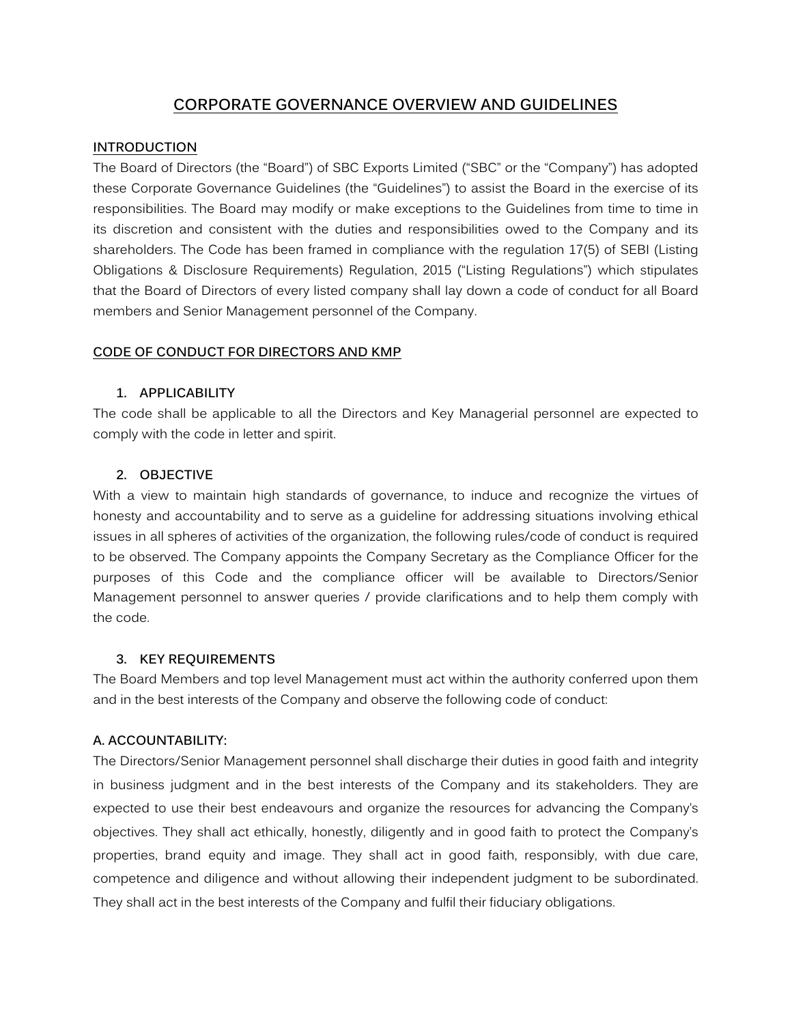# **CORPORATE GOVERNANCE OVERVIEW AND GUIDELINES**

## **INTRODUCTION**

The Board of Directors (the "Board") of SBC Exports Limited ("SBC" or the "Company") has adopted these Corporate Governance Guidelines (the "Guidelines") to assist the Board in the exercise of its responsibilities. The Board may modify or make exceptions to the Guidelines from time to time in its discretion and consistent with the duties and responsibilities owed to the Company and its shareholders. The Code has been framed in compliance with the regulation 17(5) of SEBI (Listing Obligations & Disclosure Requirements) Regulation, 2015 ("Listing Regulations") which stipulates that the Board of Directors of every listed company shall lay down a code of conduct for all Board members and Senior Management personnel of the Company.

## **CODE OF CONDUCT FOR DIRECTORS AND KMP**

#### **1. APPLICABILITY**

The code shall be applicable to all the Directors and Key Managerial personnel are expected to comply with the code in letter and spirit.

## **2. OBJECTIVE**

With a view to maintain high standards of governance, to induce and recognize the virtues of honesty and accountability and to serve as a guideline for addressing situations involving ethical issues in all spheres of activities of the organization, the following rules/code of conduct is required to be observed. The Company appoints the Company Secretary as the Compliance Officer for the purposes of this Code and the compliance officer will be available to Directors/Senior Management personnel to answer queries / provide clarifications and to help them comply with the code.

## **3. KEY REQUIREMENTS**

The Board Members and top level Management must act within the authority conferred upon them and in the best interests of the Company and observe the following code of conduct:

## **A. ACCOUNTABILITY:**

The Directors/Senior Management personnel shall discharge their duties in good faith and integrity in business judgment and in the best interests of the Company and its stakeholders. They are expected to use their best endeavours and organize the resources for advancing the Company's objectives. They shall act ethically, honestly, diligently and in good faith to protect the Company's properties, brand equity and image. They shall act in good faith, responsibly, with due care, competence and diligence and without allowing their independent judgment to be subordinated. They shall act in the best interests of the Company and fulfil their fiduciary obligations.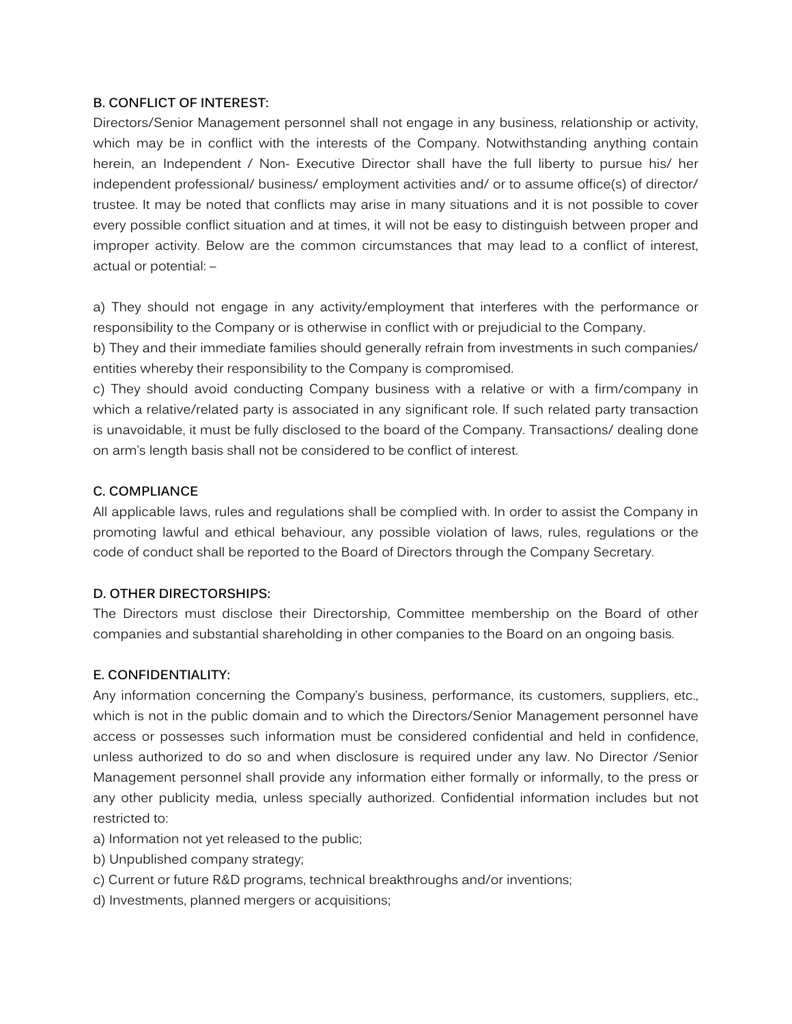# **B. CONFLICT OF INTEREST:**

Directors/Senior Management personnel shall not engage in any business, relationship or activity, which may be in conflict with the interests of the Company. Notwithstanding anything contain herein, an Independent / Non- Executive Director shall have the full liberty to pursue his/ her independent professional/ business/ employment activities and/ or to assume office(s) of director/ trustee. It may be noted that conflicts may arise in many situations and it is not possible to cover every possible conflict situation and at times, it will not be easy to distinguish between proper and improper activity. Below are the common circumstances that may lead to a conflict of interest, actual or potential: –

a) They should not engage in any activity/employment that interferes with the performance or responsibility to the Company or is otherwise in conflict with or prejudicial to the Company.

b) They and their immediate families should generally refrain from investments in such companies/ entities whereby their responsibility to the Company is compromised.

c) They should avoid conducting Company business with a relative or with a firm/company in which a relative/related party is associated in any significant role. If such related party transaction is unavoidable, it must be fully disclosed to the board of the Company. Transactions/ dealing done on arm's length basis shall not be considered to be conflict of interest.

# **C. COMPLIANCE**

All applicable laws, rules and regulations shall be complied with. In order to assist the Company in promoting lawful and ethical behaviour, any possible violation of laws, rules, regulations or the code of conduct shall be reported to the Board of Directors through the Company Secretary.

# **D. OTHER DIRECTORSHIPS:**

The Directors must disclose their Directorship, Committee membership on the Board of other companies and substantial shareholding in other companies to the Board on an ongoing basis.

# **E. CONFIDENTIALITY:**

Any information concerning the Company's business, performance, its customers, suppliers, etc., which is not in the public domain and to which the Directors/Senior Management personnel have access or possesses such information must be considered confidential and held in confidence, unless authorized to do so and when disclosure is required under any law. No Director /Senior Management personnel shall provide any information either formally or informally, to the press or any other publicity media, unless specially authorized. Confidential information includes but not restricted to:

- a) Information not yet released to the public;
- b) Unpublished company strategy;
- c) Current or future R&D programs, technical breakthroughs and/or inventions;
- d) Investments, planned mergers or acquisitions;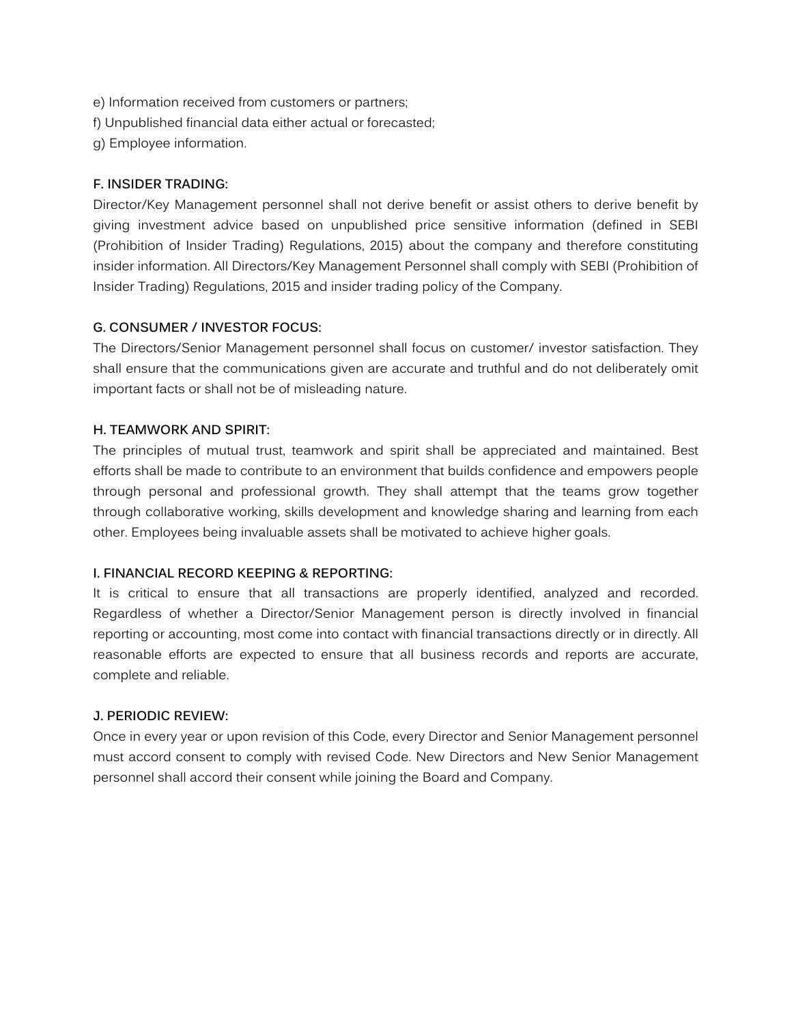- e) Information received from customers or partners;
- f) Unpublished financial data either actual or forecasted;
- g) Employee information.

#### **F. INSIDER TRADING:**

Director/Key Management personnel shall not derive benefit or assist others to derive benefit by giving investment advice based on unpublished price sensitive information (defined in SEBI (Prohibition of Insider Trading) Regulations, 2015) about the company and therefore constituting insider information. All Directors/Key Management Personnel shall comply with SEBI (Prohibition of Insider Trading) Regulations, 2015 and insider trading policy of the Company.

#### **G. CONSUMER / INVESTOR FOCUS:**

The Directors/Senior Management personnel shall focus on customer/ investor satisfaction. They shall ensure that the communications given are accurate and truthful and do not deliberately omit important facts or shall not be of misleading nature.

#### **H. TEAMWORK AND SPIRIT:**

The principles of mutual trust, teamwork and spirit shall be appreciated and maintained. Best efforts shall be made to contribute to an environment that builds confidence and empowers people through personal and professional growth. They shall attempt that the teams grow together through collaborative working, skills development and knowledge sharing and learning from each other. Employees being invaluable assets shall be motivated to achieve higher goals.

#### **I. FINANCIAL RECORD KEEPING & REPORTING:**

It is critical to ensure that all transactions are properly identified, analyzed and recorded. Regardless of whether a Director/Senior Management person is directly involved in financial reporting or accounting, most come into contact with financial transactions directly or in directly. All reasonable efforts are expected to ensure that all business records and reports are accurate, complete and reliable.

#### **J. PERIODIC REVIEW:**

Once in every year or upon revision of this Code, every Director and Senior Management personnel must accord consent to comply with revised Code. New Directors and New Senior Management personnel shall accord their consent while joining the Board and Company.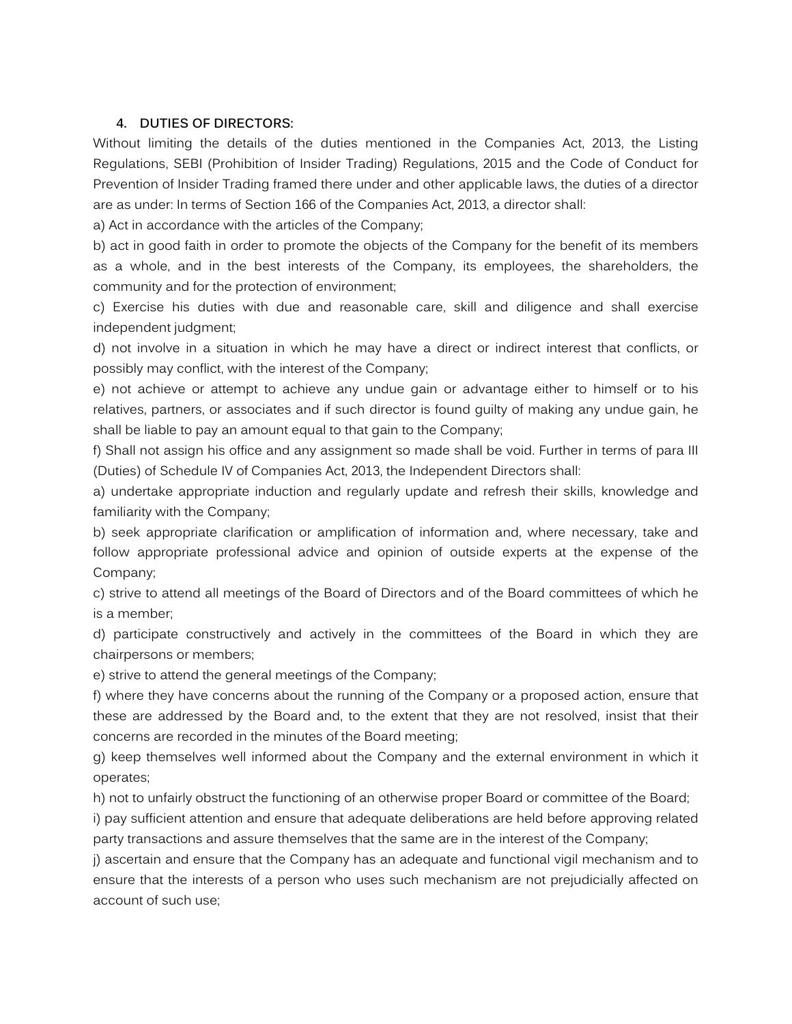#### **4. DUTIES OF DIRECTORS:**

Without limiting the details of the duties mentioned in the Companies Act, 2013, the Listing Regulations, SEBI (Prohibition of Insider Trading) Regulations, 2015 and the Code of Conduct for Prevention of Insider Trading framed there under and other applicable laws, the duties of a director are as under: In terms of Section 166 of the Companies Act, 2013, a director shall:

a) Act in accordance with the articles of the Company;

b) act in good faith in order to promote the objects of the Company for the benefit of its members as a whole, and in the best interests of the Company, its employees, the shareholders, the community and for the protection of environment;

c) Exercise his duties with due and reasonable care, skill and diligence and shall exercise independent judgment;

d) not involve in a situation in which he may have a direct or indirect interest that conflicts, or possibly may conflict, with the interest of the Company;

e) not achieve or attempt to achieve any undue gain or advantage either to himself or to his relatives, partners, or associates and if such director is found guilty of making any undue gain, he shall be liable to pay an amount equal to that gain to the Company;

f) Shall not assign his office and any assignment so made shall be void. Further in terms of para III (Duties) of Schedule IV of Companies Act, 2013, the Independent Directors shall:

a) undertake appropriate induction and regularly update and refresh their skills, knowledge and familiarity with the Company;

b) seek appropriate clarification or amplification of information and, where necessary, take and follow appropriate professional advice and opinion of outside experts at the expense of the Company;

c) strive to attend all meetings of the Board of Directors and of the Board committees of which he is a member;

d) participate constructively and actively in the committees of the Board in which they are chairpersons or members;

e) strive to attend the general meetings of the Company;

f) where they have concerns about the running of the Company or a proposed action, ensure that these are addressed by the Board and, to the extent that they are not resolved, insist that their concerns are recorded in the minutes of the Board meeting;

g) keep themselves well informed about the Company and the external environment in which it operates;

h) not to unfairly obstruct the functioning of an otherwise proper Board or committee of the Board;

i) pay sufficient attention and ensure that adequate deliberations are held before approving related party transactions and assure themselves that the same are in the interest of the Company;

j) ascertain and ensure that the Company has an adequate and functional vigil mechanism and to ensure that the interests of a person who uses such mechanism are not prejudicially affected on account of such use;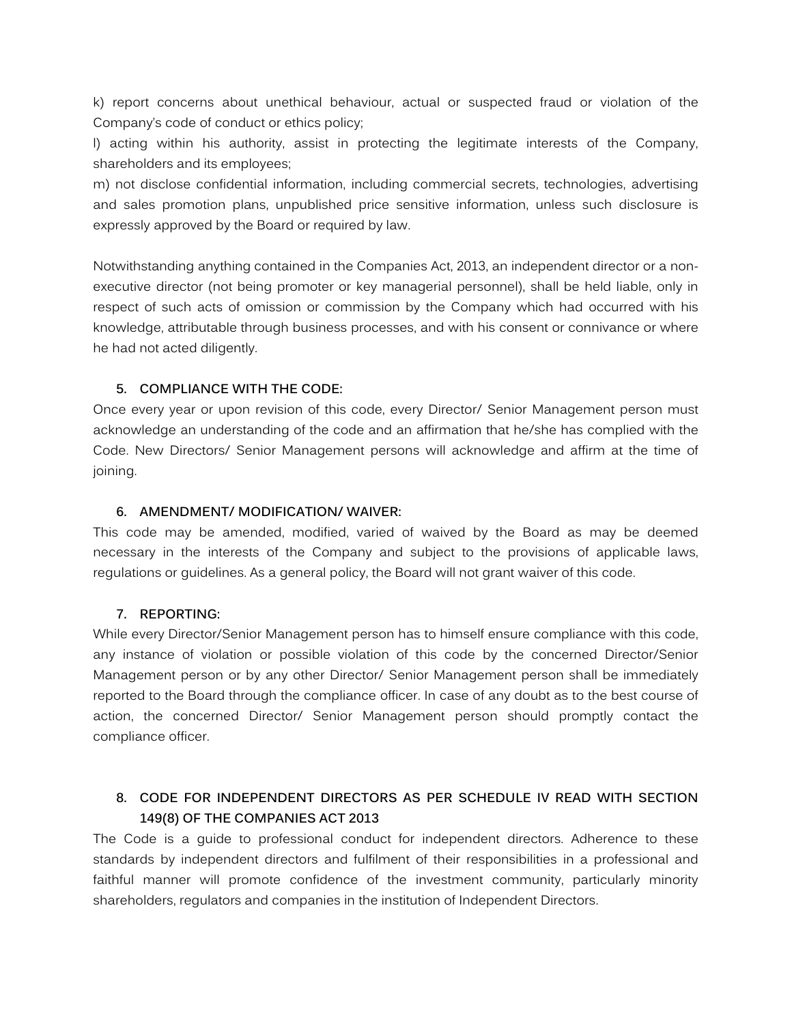k) report concerns about unethical behaviour, actual or suspected fraud or violation of the Company's code of conduct or ethics policy;

l) acting within his authority, assist in protecting the legitimate interests of the Company, shareholders and its employees;

m) not disclose confidential information, including commercial secrets, technologies, advertising and sales promotion plans, unpublished price sensitive information, unless such disclosure is expressly approved by the Board or required by law.

Notwithstanding anything contained in the Companies Act, 2013, an independent director or a nonexecutive director (not being promoter or key managerial personnel), shall be held liable, only in respect of such acts of omission or commission by the Company which had occurred with his knowledge, attributable through business processes, and with his consent or connivance or where he had not acted diligently.

# **5. COMPLIANCE WITH THE CODE:**

Once every year or upon revision of this code, every Director/ Senior Management person must acknowledge an understanding of the code and an affirmation that he/she has complied with the Code. New Directors/ Senior Management persons will acknowledge and affirm at the time of joining.

# **6. AMENDMENT/ MODIFICATION/ WAIVER:**

This code may be amended, modified, varied of waived by the Board as may be deemed necessary in the interests of the Company and subject to the provisions of applicable laws, regulations or guidelines. As a general policy, the Board will not grant waiver of this code.

## **7. REPORTING:**

While every Director/Senior Management person has to himself ensure compliance with this code, any instance of violation or possible violation of this code by the concerned Director/Senior Management person or by any other Director/ Senior Management person shall be immediately reported to the Board through the compliance officer. In case of any doubt as to the best course of action, the concerned Director/ Senior Management person should promptly contact the compliance officer.

# **8. CODE FOR INDEPENDENT DIRECTORS AS PER SCHEDULE IV READ WITH SECTION 149(8) OF THE COMPANIES ACT 2013**

The Code is a guide to professional conduct for independent directors. Adherence to these standards by independent directors and fulfilment of their responsibilities in a professional and faithful manner will promote confidence of the investment community, particularly minority shareholders, regulators and companies in the institution of Independent Directors.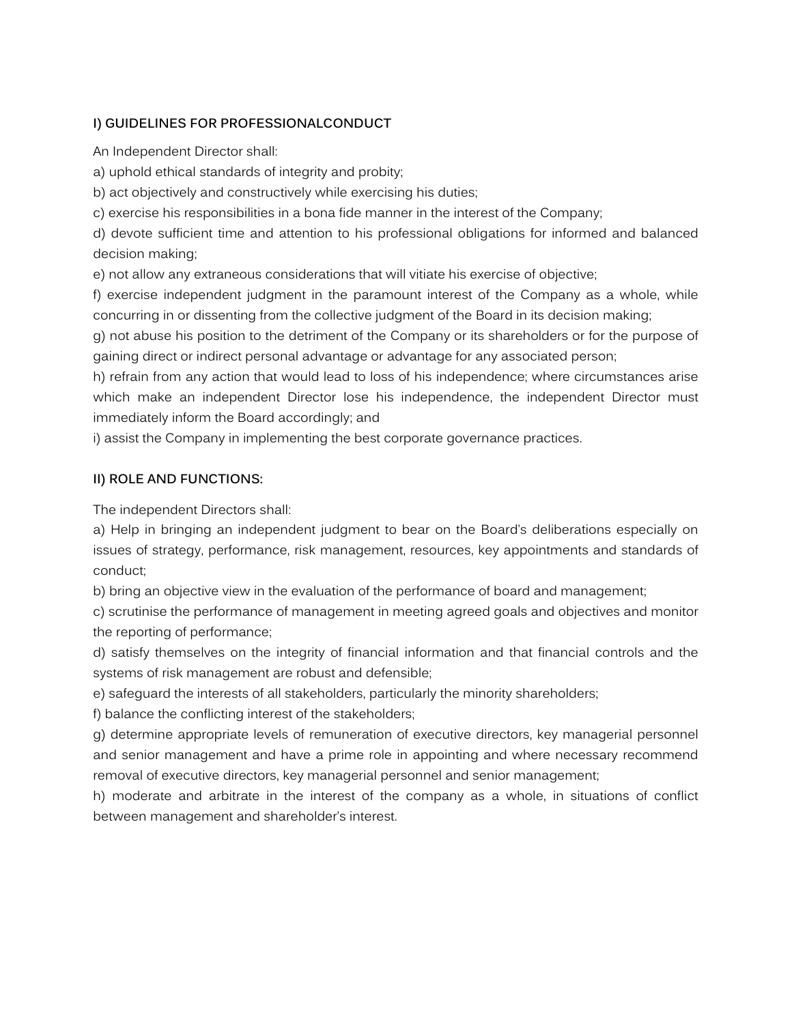# **I) GUIDELINES FOR PROFESSIONALCONDUCT**

An Independent Director shall:

a) uphold ethical standards of integrity and probity;

b) act objectively and constructively while exercising his duties;

c) exercise his responsibilities in a bona fide manner in the interest of the Company;

d) devote sufficient time and attention to his professional obligations for informed and balanced decision making;

e) not allow any extraneous considerations that will vitiate his exercise of objective;

f) exercise independent judgment in the paramount interest of the Company as a whole, while concurring in or dissenting from the collective judgment of the Board in its decision making;

g) not abuse his position to the detriment of the Company or its shareholders or for the purpose of gaining direct or indirect personal advantage or advantage for any associated person;

h) refrain from any action that would lead to loss of his independence; where circumstances arise which make an independent Director lose his independence, the independent Director must immediately inform the Board accordingly; and

i) assist the Company in implementing the best corporate governance practices.

# **II) ROLE AND FUNCTIONS:**

The independent Directors shall:

a) Help in bringing an independent judgment to bear on the Board's deliberations especially on issues of strategy, performance, risk management, resources, key appointments and standards of conduct;

b) bring an objective view in the evaluation of the performance of board and management;

c) scrutinise the performance of management in meeting agreed goals and objectives and monitor the reporting of performance;

d) satisfy themselves on the integrity of financial information and that financial controls and the systems of risk management are robust and defensible;

e) safeguard the interests of all stakeholders, particularly the minority shareholders;

f) balance the conflicting interest of the stakeholders;

g) determine appropriate levels of remuneration of executive directors, key managerial personnel and senior management and have a prime role in appointing and where necessary recommend removal of executive directors, key managerial personnel and senior management;

h) moderate and arbitrate in the interest of the company as a whole, in situations of conflict between management and shareholder's interest.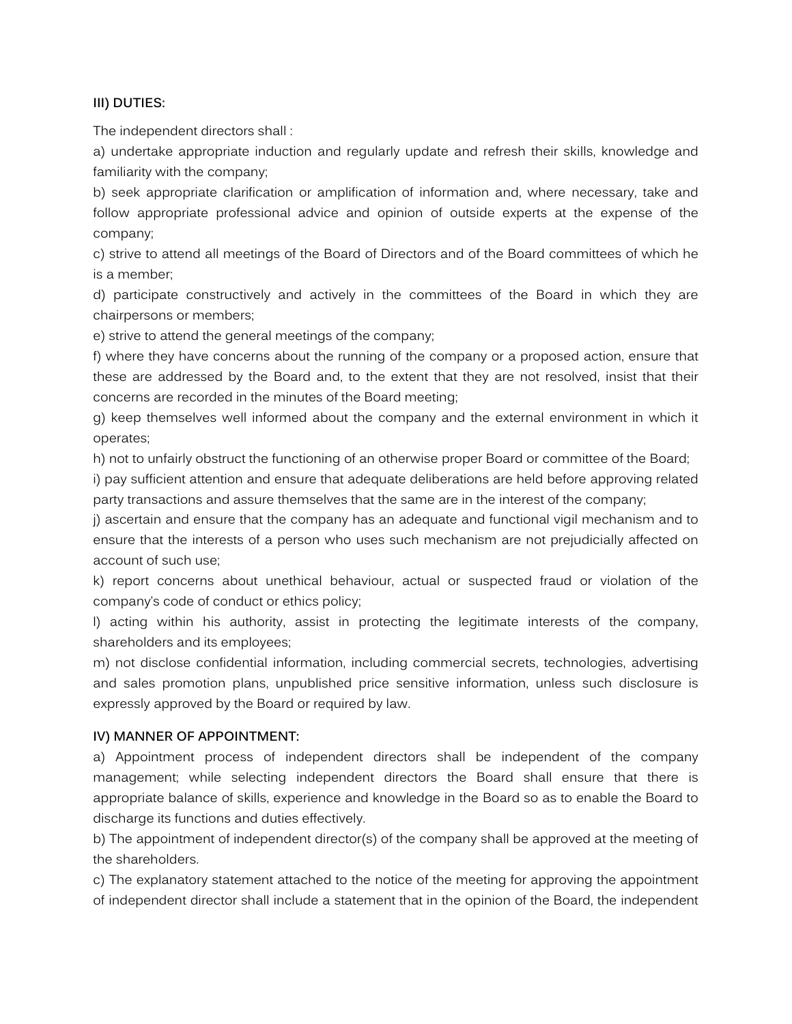## **III) DUTIES:**

The independent directors shall :

a) undertake appropriate induction and regularly update and refresh their skills, knowledge and familiarity with the company;

b) seek appropriate clarification or amplification of information and, where necessary, take and follow appropriate professional advice and opinion of outside experts at the expense of the company;

c) strive to attend all meetings of the Board of Directors and of the Board committees of which he is a member;

d) participate constructively and actively in the committees of the Board in which they are chairpersons or members;

e) strive to attend the general meetings of the company;

f) where they have concerns about the running of the company or a proposed action, ensure that these are addressed by the Board and, to the extent that they are not resolved, insist that their concerns are recorded in the minutes of the Board meeting;

g) keep themselves well informed about the company and the external environment in which it operates;

h) not to unfairly obstruct the functioning of an otherwise proper Board or committee of the Board;

i) pay sufficient attention and ensure that adequate deliberations are held before approving related party transactions and assure themselves that the same are in the interest of the company;

j) ascertain and ensure that the company has an adequate and functional vigil mechanism and to ensure that the interests of a person who uses such mechanism are not prejudicially affected on account of such use;

k) report concerns about unethical behaviour, actual or suspected fraud or violation of the company's code of conduct or ethics policy;

l) acting within his authority, assist in protecting the legitimate interests of the company, shareholders and its employees;

m) not disclose confidential information, including commercial secrets, technologies, advertising and sales promotion plans, unpublished price sensitive information, unless such disclosure is expressly approved by the Board or required by law.

## **IV) MANNER OF APPOINTMENT:**

a) Appointment process of independent directors shall be independent of the company management; while selecting independent directors the Board shall ensure that there is appropriate balance of skills, experience and knowledge in the Board so as to enable the Board to discharge its functions and duties effectively.

b) The appointment of independent director(s) of the company shall be approved at the meeting of the shareholders.

c) The explanatory statement attached to the notice of the meeting for approving the appointment of independent director shall include a statement that in the opinion of the Board, the independent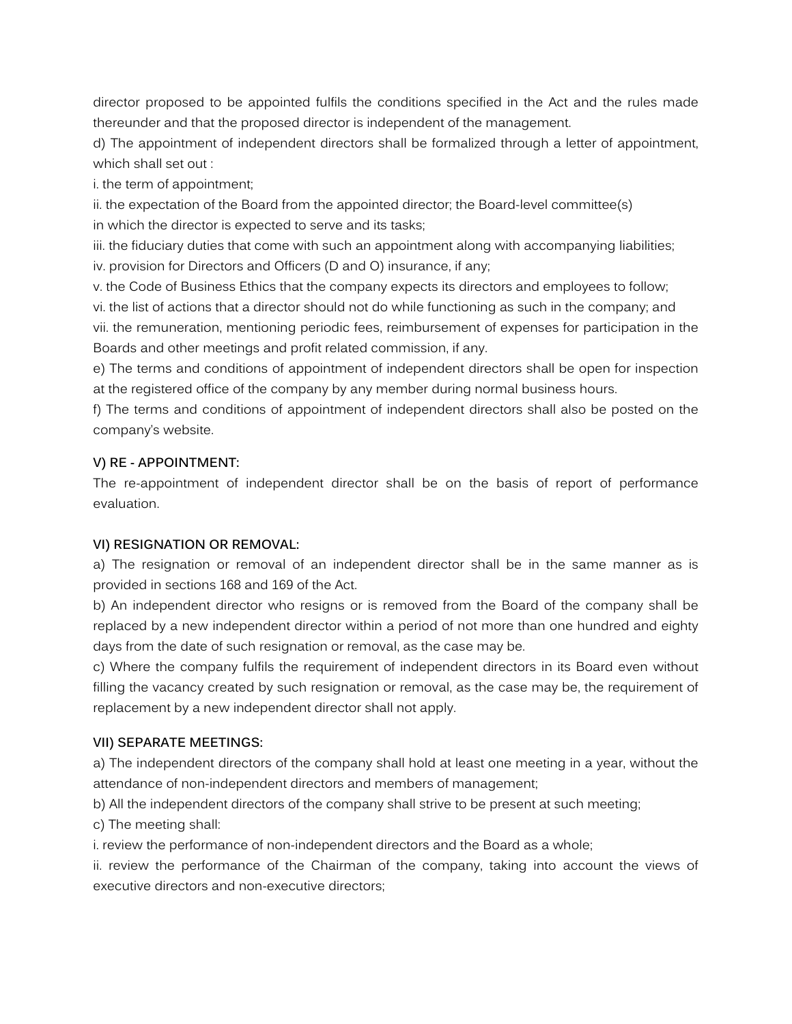director proposed to be appointed fulfils the conditions specified in the Act and the rules made thereunder and that the proposed director is independent of the management.

d) The appointment of independent directors shall be formalized through a letter of appointment, which shall set out :

i. the term of appointment;

ii. the expectation of the Board from the appointed director; the Board-level committee(s) in which the director is expected to serve and its tasks;

iii. the fiduciary duties that come with such an appointment along with accompanying liabilities;

iv. provision for Directors and Officers (D and O) insurance, if any;

v. the Code of Business Ethics that the company expects its directors and employees to follow;

vi. the list of actions that a director should not do while functioning as such in the company; and

vii. the remuneration, mentioning periodic fees, reimbursement of expenses for participation in the Boards and other meetings and profit related commission, if any.

e) The terms and conditions of appointment of independent directors shall be open for inspection at the registered office of the company by any member during normal business hours.

f) The terms and conditions of appointment of independent directors shall also be posted on the company's website.

# **V) RE - APPOINTMENT:**

The re-appointment of independent director shall be on the basis of report of performance evaluation.

# **VI) RESIGNATION OR REMOVAL:**

a) The resignation or removal of an independent director shall be in the same manner as is provided in sections 168 and 169 of the Act.

b) An independent director who resigns or is removed from the Board of the company shall be replaced by a new independent director within a period of not more than one hundred and eighty days from the date of such resignation or removal, as the case may be.

c) Where the company fulfils the requirement of independent directors in its Board even without filling the vacancy created by such resignation or removal, as the case may be, the requirement of replacement by a new independent director shall not apply.

# **VII) SEPARATE MEETINGS:**

a) The independent directors of the company shall hold at least one meeting in a year, without the attendance of non-independent directors and members of management;

b) All the independent directors of the company shall strive to be present at such meeting;

c) The meeting shall:

i. review the performance of non-independent directors and the Board as a whole;

ii. review the performance of the Chairman of the company, taking into account the views of executive directors and non-executive directors;